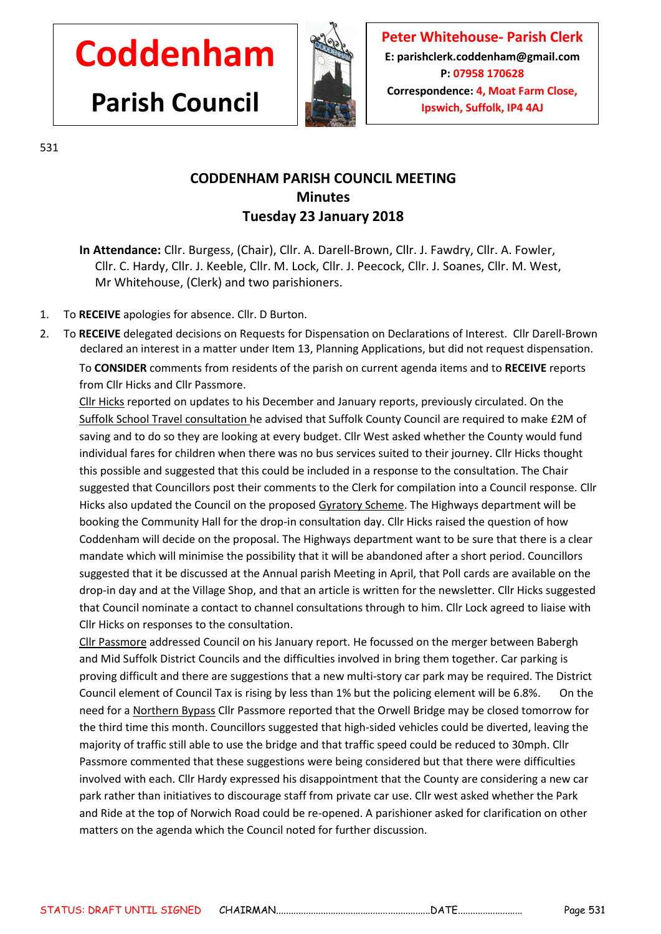## **Coddenham**

**Parish Council**



**Peter Whitehouse- Parish Clerk E: parishclerk.coddenham@gmail.com P: 07958 170628 Correspondence: 4, Moat Farm Close, Ipswich, Suffolk, IP4 4AJ**

531

## **CODDENHAM PARISH COUNCIL MEETING Minutes Tuesday 23 January 2018**

- **In Attendance:** Cllr. Burgess, (Chair), Cllr. A. Darell-Brown, Cllr. J. Fawdry, Cllr. A. Fowler, Cllr. C. Hardy, Cllr. J. Keeble, Cllr. M. Lock, Cllr. J. Peecock, Cllr. J. Soanes, Cllr. M. West, Mr Whitehouse, (Clerk) and two parishioners.
- 1. To **RECEIVE** apologies for absence. Cllr. D Burton.
- 2. To **RECEIVE** delegated decisions on Requests for Dispensation on Declarations of Interest. Cllr Darell-Brown declared an interest in a matter under Item 13, Planning Applications, but did not request dispensation.

To **CONSIDER** comments from residents of the parish on current agenda items and to **RECEIVE** reports from Cllr Hicks and Cllr Passmore.

Cllr Hicks reported on updates to his December and January reports, previously circulated. On the Suffolk School Travel consultation he advised that Suffolk County Council are required to make £2M of saving and to do so they are looking at every budget. Cllr West asked whether the County would fund individual fares for children when there was no bus services suited to their journey. Cllr Hicks thought this possible and suggested that this could be included in a response to the consultation. The Chair suggested that Councillors post their comments to the Clerk for compilation into a Council response. Cllr Hicks also updated the Council on the proposed Gyratory Scheme. The Highways department will be booking the Community Hall for the drop-in consultation day. Cllr Hicks raised the question of how Coddenham will decide on the proposal. The Highways department want to be sure that there is a clear mandate which will minimise the possibility that it will be abandoned after a short period. Councillors suggested that it be discussed at the Annual parish Meeting in April, that Poll cards are available on the drop-in day and at the Village Shop, and that an article is written for the newsletter. Cllr Hicks suggested that Council nominate a contact to channel consultations through to him. Cllr Lock agreed to liaise with Cllr Hicks on responses to the consultation.

Cllr Passmore addressed Council on his January report. He focussed on the merger between Babergh and Mid Suffolk District Councils and the difficulties involved in bring them together. Car parking is proving difficult and there are suggestions that a new multi-story car park may be required. The District Council element of Council Tax is rising by less than 1% but the policing element will be 6.8%. On the need for a Northern Bypass Cllr Passmore reported that the Orwell Bridge may be closed tomorrow for the third time this month. Councillors suggested that high-sided vehicles could be diverted, leaving the majority of traffic still able to use the bridge and that traffic speed could be reduced to 30mph. Cllr Passmore commented that these suggestions were being considered but that there were difficulties involved with each. Cllr Hardy expressed his disappointment that the County are considering a new car park rather than initiatives to discourage staff from private car use. Cllr west asked whether the Park and Ride at the top of Norwich Road could be re-opened. A parishioner asked for clarification on other matters on the agenda which the Council noted for further discussion.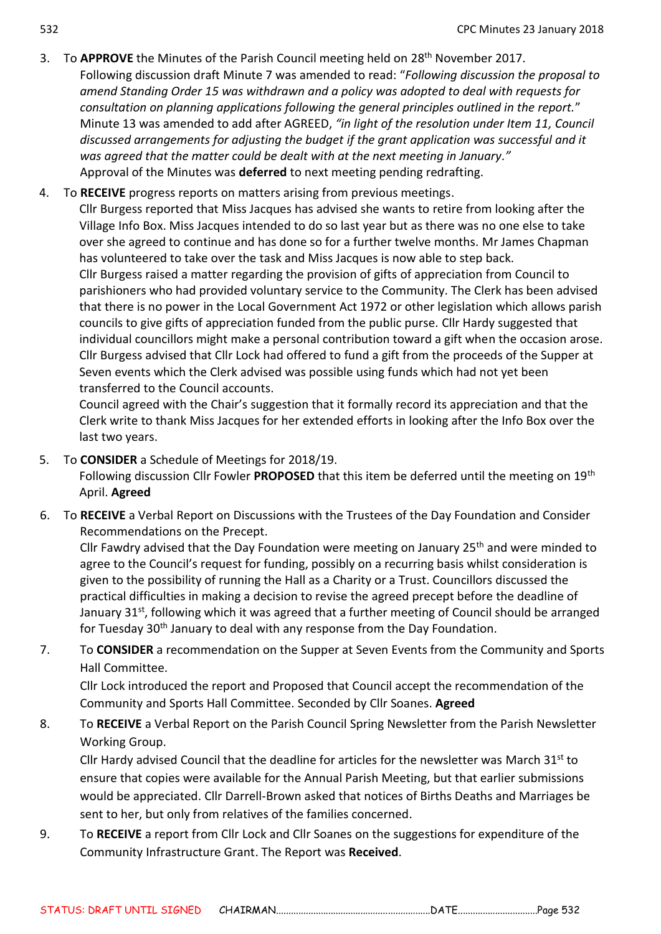- 3. To APPROVE the Minutes of the Parish Council meeting held on 28<sup>th</sup> November 2017. Following discussion draft Minute 7 was amended to read: "*Following discussion the proposal to amend Standing Order 15 was withdrawn and a policy was adopted to deal with requests for consultation on planning applications following the general principles outlined in the report.*" Minute 13 was amended to add after AGREED, *"in light of the resolution under Item 11, Council discussed arrangements for adjusting the budget if the grant application was successful and it was agreed that the matter could be dealt with at the next meeting in January."* Approval of the Minutes was **deferred** to next meeting pending redrafting.
- 4. To **RECEIVE** progress reports on matters arising from previous meetings.

Cllr Burgess reported that Miss Jacques has advised she wants to retire from looking after the Village Info Box. Miss Jacques intended to do so last year but as there was no one else to take over she agreed to continue and has done so for a further twelve months. Mr James Chapman has volunteered to take over the task and Miss Jacques is now able to step back. Cllr Burgess raised a matter regarding the provision of gifts of appreciation from Council to parishioners who had provided voluntary service to the Community. The Clerk has been advised that there is no power in the Local Government Act 1972 or other legislation which allows parish councils to give gifts of appreciation funded from the public purse. Cllr Hardy suggested that individual councillors might make a personal contribution toward a gift when the occasion arose. Cllr Burgess advised that Cllr Lock had offered to fund a gift from the proceeds of the Supper at Seven events which the Clerk advised was possible using funds which had not yet been transferred to the Council accounts.

Council agreed with the Chair's suggestion that it formally record its appreciation and that the Clerk write to thank Miss Jacques for her extended efforts in looking after the Info Box over the last two years.

- 5. To **CONSIDER** a Schedule of Meetings for 2018/19. Following discussion Cllr Fowler **PROPOSED** that this item be deferred until the meeting on 19th April. **Agreed**
- 6. To **RECEIVE** a Verbal Report on Discussions with the Trustees of the Day Foundation and Consider Recommendations on the Precept.

Cllr Fawdry advised that the Day Foundation were meeting on January 25<sup>th</sup> and were minded to agree to the Council's request for funding, possibly on a recurring basis whilst consideration is given to the possibility of running the Hall as a Charity or a Trust. Councillors discussed the practical difficulties in making a decision to revise the agreed precept before the deadline of January  $31<sup>st</sup>$ , following which it was agreed that a further meeting of Council should be arranged for Tuesday 30<sup>th</sup> January to deal with any response from the Day Foundation.

7. To **CONSIDER** a recommendation on the Supper at Seven Events from the Community and Sports Hall Committee.

Cllr Lock introduced the report and Proposed that Council accept the recommendation of the Community and Sports Hall Committee. Seconded by Cllr Soanes. **Agreed**

8. To **RECEIVE** a Verbal Report on the Parish Council Spring Newsletter from the Parish Newsletter Working Group.

Cllr Hardy advised Council that the deadline for articles for the newsletter was March  $31<sup>st</sup>$  to ensure that copies were available for the Annual Parish Meeting, but that earlier submissions would be appreciated. Cllr Darrell-Brown asked that notices of Births Deaths and Marriages be sent to her, but only from relatives of the families concerned.

9. To **RECEIVE** a report from Cllr Lock and Cllr Soanes on the suggestions for expenditure of the Community Infrastructure Grant. The Report was **Received**.